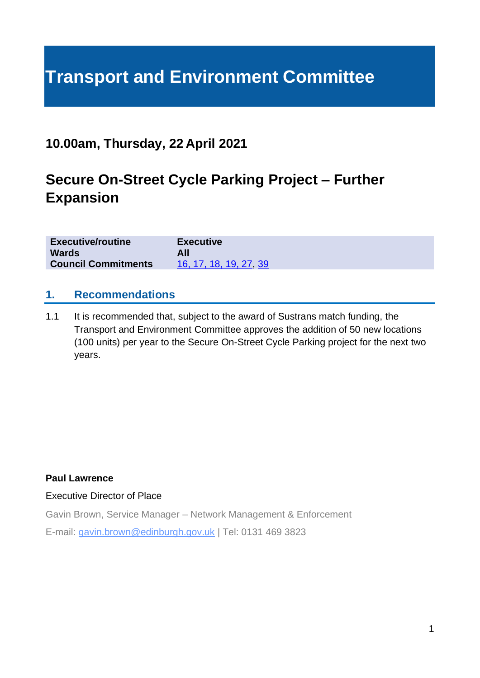# **Transport and Environment Committee**

## **10.00am, Thursday, 22 April 2021**

## **Secure On-Street Cycle Parking Project – Further Expansion**

| <b>Executive/routine</b>   | <b>Executive</b>       |
|----------------------------|------------------------|
| <b>Wards</b>               |                        |
| <b>Council Commitments</b> | 16, 17, 18, 19, 27, 39 |

#### **1. Recommendations**

1.1 It is recommended that, subject to the award of Sustrans match funding, the Transport and Environment Committee approves the addition of 50 new locations (100 units) per year to the Secure On-Street Cycle Parking project for the next two years.

#### **Paul Lawrence**

#### Executive Director of Place

Gavin Brown, Service Manager – Network Management & Enforcement

E-mail: gavin.brown@edinburgh.gov.uk | Tel: 0131 469 3823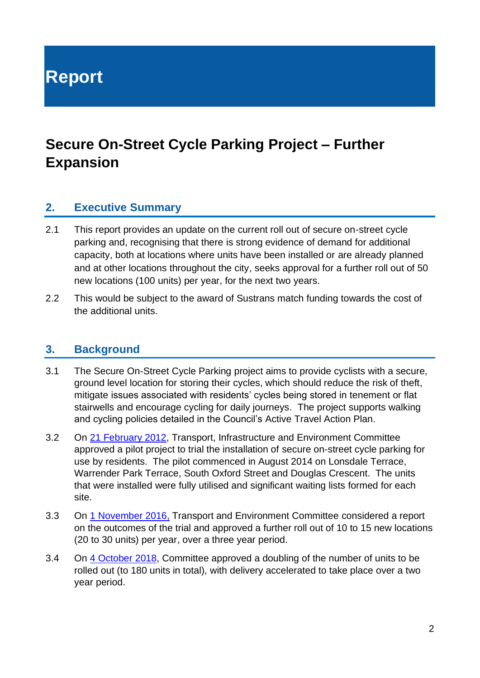**Report**

## **Secure On-Street Cycle Parking Project – Further Expansion**

#### **2. Executive Summary**

- 2.1 This report provides an update on the current roll out of secure on-street cycle parking and, recognising that there is strong evidence of demand for additional capacity, both at locations where units have been installed or are already planned and at other locations throughout the city, seeks approval for a further roll out of 50 new locations (100 units) per year, for the next two years.
- 2.2 This would be subject to the award of Sustrans match funding towards the cost of the additional units.

#### **3. Background**

- 3.1 The Secure On-Street Cycle Parking project aims to provide cyclists with a secure, ground level location for storing their cycles, which should reduce the risk of theft, mitigate issues associated with residents' cycles being stored in tenement or flat stairwells and encourage cycling for daily journeys. The project supports walking and cycling policies detailed in the Council's Active [Travel Action Plan.](https://www.edinburgh.gov.uk/downloads/download/13766/active-travel-action-plan)
- 3.2 On [21 February 2012,](https://democracy.edinburgh.gov.uk/CeListDocuments.aspx?CommitteeId=349&MeetingId=4792&DF=21%2f02%2f2012&Ver=2) Transport, Infrastructure and Environment Committee approved a pilot project to trial the installation of secure on-street cycle parking for use by residents. The pilot commenced in August 2014 on Lonsdale Terrace, Warrender Park Terrace, South Oxford Street and Douglas Crescent. The units that were installed were fully utilised and significant waiting lists formed for each site.
- 3.3 On [1 November 2016,](https://democracy.edinburgh.gov.uk/Data/Transport%20and%20Environment%20Committee/20161101/Agenda/item_78_-_secure_on-street_cycle_parking.pdf) Transport and Environment Committee considered a report on the outcomes of the trial and approved a further roll out of 10 to 15 new locations (20 to 30 units) per year, over a three year period.
- 3.4 On [4 October 2018,](https://democracy.edinburgh.gov.uk/Data/Transport%20and%20Environment%20Committee/20181004/Agenda/item_73_-_proposed_increase_in_scale_of_rollout_and_amendment_to_contract_for_on-street_secure_cycle_parking.pdf) Committee approved a doubling of the number of units to be rolled out (to 180 units in total), with delivery accelerated to take place over a two year period.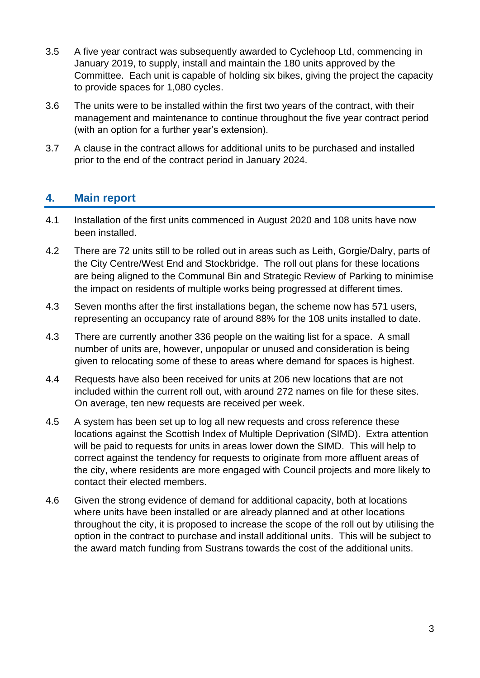- 3.5 A five year contract was subsequently awarded to Cyclehoop Ltd, commencing in January 2019, to supply, install and maintain the 180 units approved by the Committee. Each unit is capable of holding six bikes, giving the project the capacity to provide spaces for 1,080 cycles.
- 3.6 The units were to be installed within the first two years of the contract, with their management and maintenance to continue throughout the five year contract period (with an option for a further year's extension).
- 3.7 A clause in the contract allows for additional units to be purchased and installed prior to the end of the contract period in January 2024.

#### **4. Main report**

- 4.1 Installation of the first units commenced in August 2020 and 108 units have now been installed.
- 4.2 There are 72 units still to be rolled out in areas such as Leith, Gorgie/Dalry, parts of the City Centre/West End and Stockbridge. The roll out plans for these locations are being aligned to the Communal Bin and Strategic Review of Parking to minimise the impact on residents of multiple works being progressed at different times.
- 4.3 Seven months after the first installations began, the scheme now has 571 users, representing an occupancy rate of around 88% for the 108 units installed to date.
- 4.3 There are currently another 336 people on the waiting list for a space. A small number of units are, however, unpopular or unused and consideration is being given to relocating some of these to areas where demand for spaces is highest.
- 4.4 Requests have also been received for units at 206 new locations that are not included within the current roll out, with around 272 names on file for these sites. On average, ten new requests are received per week.
- 4.5 A system has been set up to log all new requests and cross reference these locations against the Scottish Index of Multiple Deprivation (SIMD). Extra attention will be paid to requests for units in areas lower down the SIMD. This will help to correct against the tendency for requests to originate from more affluent areas of the city, where residents are more engaged with Council projects and more likely to contact their elected members.
- 4.6 Given the strong evidence of demand for additional capacity, both at locations where units have been installed or are already planned and at other locations throughout the city, it is proposed to increase the scope of the roll out by utilising the option in the contract to purchase and install additional units. This will be subject to the award match funding from Sustrans towards the cost of the additional units.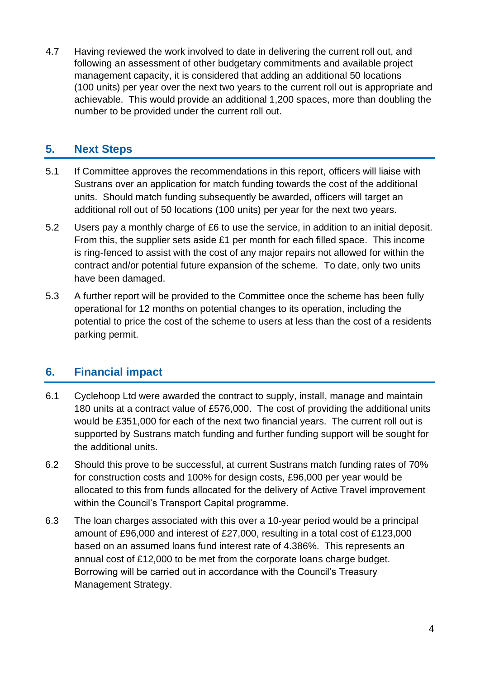4.7 Having reviewed the work involved to date in delivering the current roll out, and following an assessment of other budgetary commitments and available project management capacity, it is considered that adding an additional 50 locations (100 units) per year over the next two years to the current roll out is appropriate and achievable. This would provide an additional 1,200 spaces, more than doubling the number to be provided under the current roll out.

## **5. Next Steps**

- 5.1 If Committee approves the recommendations in this report, officers will liaise with Sustrans over an application for match funding towards the cost of the additional units. Should match funding subsequently be awarded, officers will target an additional roll out of 50 locations (100 units) per year for the next two years.
- 5.2 Users pay a monthly charge of £6 to use the service, in addition to an initial deposit. From this, the supplier sets aside £1 per month for each filled space. This income is ring-fenced to assist with the cost of any major repairs not allowed for within the contract and/or potential future expansion of the scheme. To date, only two units have been damaged.
- 5.3 A further report will be provided to the Committee once the scheme has been fully operational for 12 months on potential changes to its operation, including the potential to price the cost of the scheme to users at less than the cost of a residents parking permit.

### **6. Financial impact**

- 6.1 Cyclehoop Ltd were awarded the contract to supply, install, manage and maintain 180 units at a contract value of £576,000. The cost of providing the additional units would be £351,000 for each of the next two financial years. The current roll out is supported by Sustrans match funding and further funding support will be sought for the additional units.
- 6.2 Should this prove to be successful, at current Sustrans match funding rates of 70% for construction costs and 100% for design costs, £96,000 per year would be allocated to this from funds allocated for the delivery of Active Travel improvement within the Council's Transport Capital programme.
- 6.3 The loan charges associated with this over a 10-year period would be a principal amount of £96,000 and interest of £27,000, resulting in a total cost of £123,000 based on an assumed loans fund interest rate of 4.386%. This represents an annual cost of £12,000 to be met from the corporate loans charge budget. Borrowing will be carried out in accordance with the Council's Treasury Management Strategy.